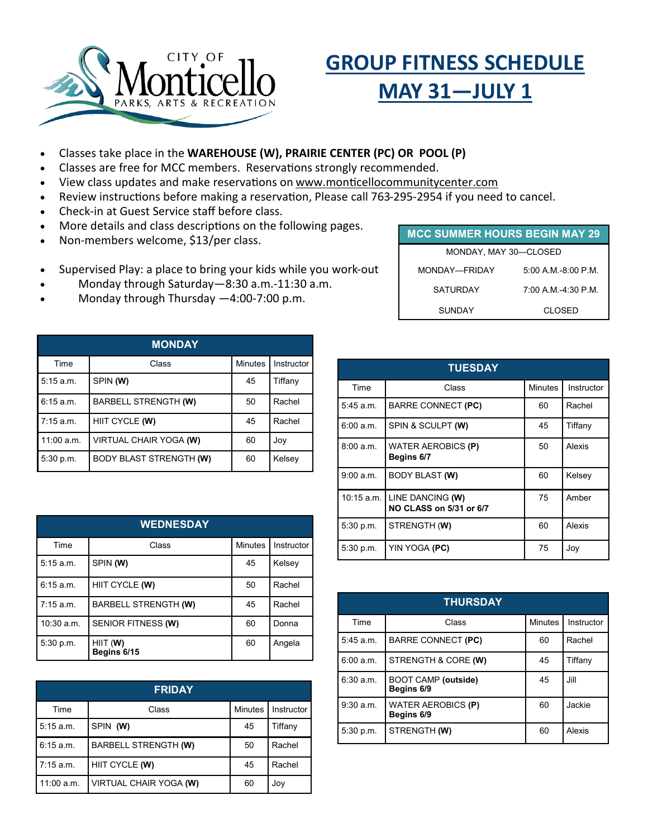

# **GROUP FITNESS SCHEDULE MAY 31—JULY 1**

- Classes take place in the **WAREHOUSE (W), PRAIRIE CENTER (PC) OR POOL (P)**
- Classes are free for MCC members. Reservations strongly recommended.
- View class updates and make reservations on www.monticellocommunitycenter.com
- Review instructions before making a reservation, Please call 763-295-2954 if you need to cancel.
- Check-in at Guest Service staff before class.
- More details and class descriptions on the following pages.
- Non-members welcome, \$13/per class.
- Supervised Play: a place to bring your kids while you work-out
- Monday through Saturday—8:30 a.m.-11:30 a.m.
- Monday through Thursday  $-4:00$ -7:00 p.m.

| <b>MONDAY</b> |                                |                |            |
|---------------|--------------------------------|----------------|------------|
| Time          | Class                          | <b>Minutes</b> | Instructor |
| 5:15 a.m.     | SPIN (W)                       | 45             | Tiffany    |
| 6:15a.m.      | <b>BARBELL STRENGTH (W)</b>    | 50             | Rachel     |
| $7:15$ a.m.   | HIIT CYCLE (W)                 | 45             | Rachel     |
| 11:00 a.m.    | VIRTUAL CHAIR YOGA (W)         | 60             | Joy        |
| 5:30 p.m.     | <b>BODY BLAST STRENGTH (W)</b> | 60             | Kelsey     |

| <b>WEDNESDAY</b> |                             |                |            |
|------------------|-----------------------------|----------------|------------|
| Time             | Class                       | <b>Minutes</b> | Instructor |
| 5:15 a.m.        | SPIN (W)                    | 45             | Kelsey     |
| 6:15a.m.         | HIIT CYCLE (W)              | 50             | Rachel     |
| 7:15 a.m.        | <b>BARBELL STRENGTH (W)</b> | 45             | Rachel     |
| $10:30$ a.m.     | SENIOR FITNESS (W)          | 60             | Donna      |
| 5:30 p.m.        | HIIT (W)<br>Begins 6/15     | 60             | Angela     |

| <b>FRIDAY</b> |                             |                |            |
|---------------|-----------------------------|----------------|------------|
| Time          | Class                       | <b>Minutes</b> | Instructor |
| $5:15$ a.m.   | SPIN (W)                    | 45             | Tiffany    |
| 6:15 a.m.     | <b>BARBELL STRENGTH (W)</b> | 50             | Rachel     |
| $7:15$ a.m.   | HIIT CYCLE (W)              | 45             | Rachel     |
| 11:00 a.m.    | VIRTUAL CHAIR YOGA (W)      | 60             | Joy        |

| <b>MCC SUMMER HOURS BEGIN MAY 29</b> |                         |  |  |
|--------------------------------------|-------------------------|--|--|
| MONDAY, MAY 30-CLOSED                |                         |  |  |
| MONDAY-FRIDAY                        | $5.00$ A M $-8.00$ P.M. |  |  |
| <b>SATURDAY</b>                      | 7:00 A M -4:30 P M      |  |  |
| SUNDAY                               | CI OSED                 |  |  |

| <b>TUESDAY</b> |                                             |                |            |
|----------------|---------------------------------------------|----------------|------------|
| Time           | Class                                       | <b>Minutes</b> | Instructor |
| 5.45 a.m.      | <b>BARRE CONNECT (PC)</b>                   | 60             | Rachel     |
| 6:00 a.m.      | SPIN & SCULPT (W)                           | 45             | Tiffany    |
| 8:00a.m.       | <b>WATER AEROBICS (P)</b><br>Begins 6/7     | 50             | Alexis     |
| 9:00 a.m.      | <b>BODY BLAST (W)</b>                       | 60             | Kelsey     |
| 10:15 a.m.     | LINE DANCING (W)<br>NO CLASS on 5/31 or 6/7 | 75             | Amber      |
| 5:30 p.m.      | STRENGTH (W)                                | 60             | Alexis     |
| 5:30 p.m.      | YIN YOGA (PC)                               | 75             | Joy        |

| <b>THURSDAY</b> |                                          |                |            |
|-----------------|------------------------------------------|----------------|------------|
| Time            | Class                                    | <b>Minutes</b> | Instructor |
| 5:45 a.m.       | <b>BARRE CONNECT (PC)</b>                | 60             | Rachel     |
| 6:00 a.m.       | STRENGTH & CORE (W)                      | 45             | Tiffanv    |
| 6:30 a.m.       | <b>BOOT CAMP (outside)</b><br>Begins 6/9 | 45             | Jill       |
| 9:30 a.m.       | WATER AEROBICS (P)<br>Begins 6/9         | 60             | Jackie     |
| 5:30 p.m.       | STRENGTH (W)                             | 60             | Alexis     |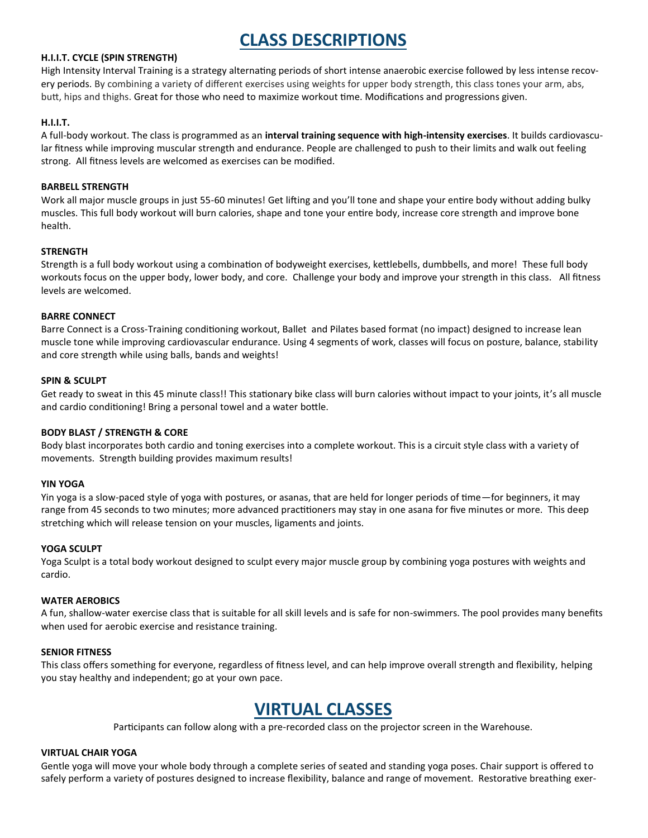# **CLASS DESCRIPTIONS**

#### **H.I.I.T. CYCLE (SPIN STRENGTH)**

High Intensity Interval Training is a strategy alternating periods of short intense anaerobic exercise followed by less intense recovery periods. By combining a variety of different exercises using weights for upper body strength, this class tones your arm, abs, butt, hips and thighs. Great for those who need to maximize workout time. Modifications and progressions given.

#### **H.I.I.T.**

A full-body workout. The class is programmed as an **interval training sequence with high-intensity exercises**. It builds cardiovascular fitness while improving muscular strength and endurance. People are challenged to push to their limits and walk out feeling strong. All fitness levels are welcomed as exercises can be modified.

#### **BARBELL STRENGTH**

Work all major muscle groups in just 55-60 minutes! Get lifting and you'll tone and shape your entire body without adding bulky muscles. This full body workout will burn calories, shape and tone your entire body, increase core strength and improve bone health.

#### **STRENGTH**

Strength is a full body workout using a combination of bodyweight exercises, kettlebells, dumbbells, and more! These full body workouts focus on the upper body, lower body, and core. Challenge your body and improve your strength in this class. All fitness levels are welcomed.

#### **BARRE CONNECT**

Barre Connect is a Cross-Training conditioning workout, Ballet and Pilates based format (no impact) designed to increase lean muscle tone while improving cardiovascular endurance. Using 4 segments of work, classes will focus on posture, balance, stability and core strength while using balls, bands and weights!

#### **SPIN & SCULPT**

Get ready to sweat in this 45 minute class!! This stationary bike class will burn calories without impact to your joints, it's all muscle and cardio conditioning! Bring a personal towel and a water bottle.

#### **BODY BLAST / STRENGTH & CORE**

Body blast incorporates both cardio and toning exercises into a complete workout. This is a circuit style class with a variety of movements. Strength building provides maximum results!

#### **YIN YOGA**

Yin yoga is a slow-paced style of yoga with postures, or asanas, that are held for longer periods of time—for beginners, it may range from 45 seconds to two minutes; more advanced practitioners may stay in one asana for five minutes or more. This deep stretching which will release tension on your muscles, ligaments and joints.

#### **YOGA SCULPT**

Yoga Sculpt is a total body workout designed to sculpt every major muscle group by combining yoga postures with weights and cardio.

#### **WATER AEROBICS**

A fun, shallow-water exercise class that is suitable for all skill levels and is safe for non-swimmers. The pool provides many benefits when used for aerobic exercise and resistance training.

#### **SENIOR FITNESS**

This class offers something for everyone, regardless of fitness level, and can help improve overall strength and flexibility, helping you stay healthy and independent; go at your own pace.

## **VIRTUAL CLASSES**

Participants can follow along with a pre-recorded class on the projector screen in the Warehouse.

#### **VIRTUAL CHAIR YOGA**

Gentle yoga will move your whole body through a complete series of seated and standing yoga poses. Chair support is offered to safely perform a variety of postures designed to increase flexibility, balance and range of movement. Restorative breathing exer-